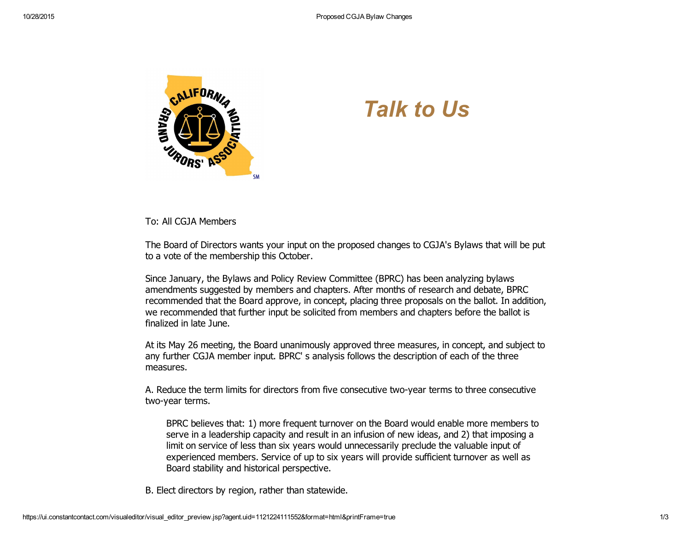

## *Talk to Us*

To: All CGJA Members

The Board of Directors wants your input on the proposed changes to CGJA's Bylaws that will be put to a vote of the membership this October.

Since January, the Bylaws and Policy Review Committee (BPRC) has been analyzing bylaws amendments suggested by members and chapters. After months of research and debate, BPRC recommended that the Board approve, in concept, placing three proposals on the ballot. In addition, we recommended that further input be solicited from members and chapters before the ballot is finalized in late June.

At its May 26 meeting, the Board unanimously approved three measures, in concept, and subject to any further CGJA member input. BPRC' s analysis follows the description of each of the three measures.

A. Reduce the term limits for directors from five consecutive twoyear terms to three consecutive two-year terms.

BPRC believes that: 1) more frequent turnover on the Board would enable more members to serve in a leadership capacity and result in an infusion of new ideas, and 2) that imposing a limit on service of less than six years would unnecessarily preclude the valuable input of experienced members. Service of up to six years will provide sufficient turnover as well as Board stability and historical perspective.

B. Elect directors by region, rather than statewide.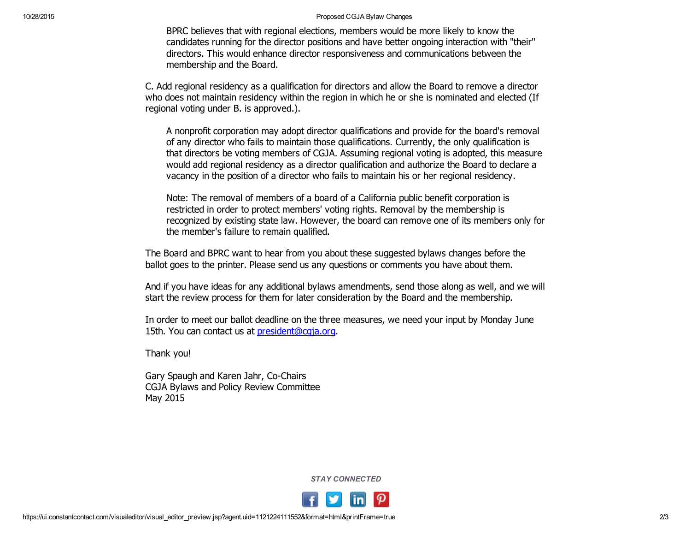## 10/28/2015 Proposed CGJA Bylaw Changes

BPRC believes that with regional elections, members would be more likely to know the candidates running for the director positions and have better ongoing interaction with "their" directors. This would enhance director responsiveness and communications between the membership and the Board.

C. Add regional residency as a qualification for directors and allow the Board to remove a director who does not maintain residency within the region in which he or she is nominated and elected (If regional voting under B. is approved.).

A nonprofit corporation may adopt director qualifications and provide for the board's removal of any director who fails to maintain those qualifications. Currently, the only qualification is that directors be voting members of CGJA. Assuming regional voting is adopted, this measure would add regional residency as a director qualification and authorize the Board to declare a vacancy in the position of a director who fails to maintain his or her regional residency.

Note: The removal of members of a board of a California public benefit corporation is restricted in order to protect members' voting rights. Removal by the membership is recognized by existing state law. However, the board can remove one of its members only for the member's failure to remain qualified.

The Board and BPRC want to hear from you about these suggested bylaws changes before the ballot goes to the printer. Please send us any questions or comments you have about them.

And if you have ideas for any additional bylaws amendments, send those along as well, and we will start the review process for them for later consideration by the Board and the membership.

In order to meet our ballot deadline on the three measures, we need your input by Monday June 15th. You can contact us at [president@cgja.org](mailto:president@cgja.org).

Thank you!

Gary Spaugh and Karen Jahr, Co-Chairs CGJA Bylaws and Policy Review Committee May 2015

*STAY CONNECTED*